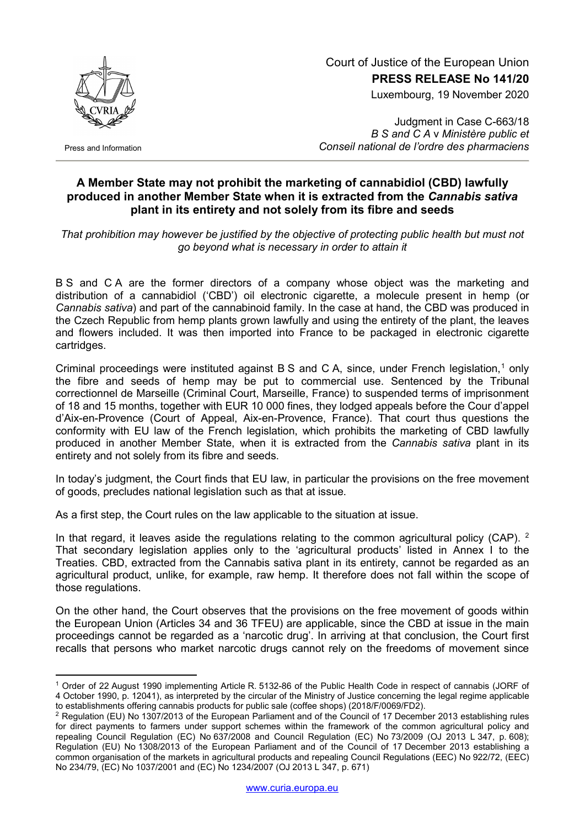

Press and Information

## Court of Justice of the European Union **PRESS RELEASE No 141/20**

Luxembourg, 19 November 2020

Judgment in Case C-663/18 *B S and C A* v *Ministère public et Conseil national de l'ordre des pharmaciens*

## **A Member State may not prohibit the marketing of cannabidiol (CBD) lawfully produced in another Member State when it is extracted from the** *Cannabis sativa* **plant in its entirety and not solely from its fibre and seeds**

*That prohibition may however be justified by the objective of protecting public health but must not go beyond what is necessary in order to attain it*

B S and C A are the former directors of a company whose object was the marketing and distribution of a cannabidiol ('CBD') oil electronic cigarette, a molecule present in hemp (or *Cannabis sativa*) and part of the cannabinoid family. In the case at hand, the CBD was produced in the Czech Republic from hemp plants grown lawfully and using the entirety of the plant, the leaves and flowers included. It was then imported into France to be packaged in electronic cigarette cartridges.

Criminal proceedings were instituted against B S and C A, since, under French legislation,<sup>[1](#page-0-0)</sup> only the fibre and seeds of hemp may be put to commercial use. Sentenced by the Tribunal correctionnel de Marseille (Criminal Court, Marseille, France) to suspended terms of imprisonment of 18 and 15 months, together with EUR 10 000 fines, they lodged appeals before the Cour d'appel d'Aix-en-Provence (Court of Appeal, Aix-en-Provence, France). That court thus questions the conformity with EU law of the French legislation, which prohibits the marketing of CBD lawfully produced in another Member State, when it is extracted from the *Cannabis sativa* plant in its entirety and not solely from its fibre and seeds.

In today's judgment, the Court finds that EU law, in particular the provisions on the free movement of goods, precludes national legislation such as that at issue.

As a first step, the Court rules on the law applicable to the situation at issue.

In that regard, it leaves aside the regulations relating to the common agricultural policy (CAP). <sup>[2](#page-0-1)</sup> That secondary legislation applies only to the 'agricultural products' listed in Annex I to the Treaties. CBD, extracted from the Cannabis sativa plant in its entirety, cannot be regarded as an agricultural product, unlike, for example, raw hemp. It therefore does not fall within the scope of those regulations.

On the other hand, the Court observes that the provisions on the free movement of goods within the European Union (Articles 34 and 36 TFEU) are applicable, since the CBD at issue in the main proceedings cannot be regarded as a 'narcotic drug'. In arriving at that conclusion, the Court first recalls that persons who market narcotic drugs cannot rely on the freedoms of movement since

<span id="page-0-0"></span><sup>-</sup><sup>1</sup> Order of 22 August 1990 implementing Article R. 5132-86 of the Public Health Code in respect of cannabis (JORF of 4 October 1990, p. 12041), as interpreted by the circular of the Ministry of Justice concerning the legal regime applicable to establishments offering cannabis products for public sale (coffee shops) (2018/F/0069/FD2).

<span id="page-0-1"></span><sup>2</sup> Regulation (EU) No 1307/2013 of the European Parliament and of the Council of 17 December 2013 establishing rules for direct payments to farmers under support schemes within the framework of the common agricultural policy and repealing Council Regulation (EC) No 637/2008 and Council Regulation (EC) No 73/2009 (OJ 2013 L 347, p. 608); Regulation (EU) No 1308/2013 of the European Parliament and of the Council of 17 December 2013 establishing a common organisation of the markets in agricultural products and repealing Council Regulations (EEC) No 922/72, (EEC) No 234/79, (EC) No 1037/2001 and (EC) No 1234/2007 (OJ 2013 L 347, p. 671)